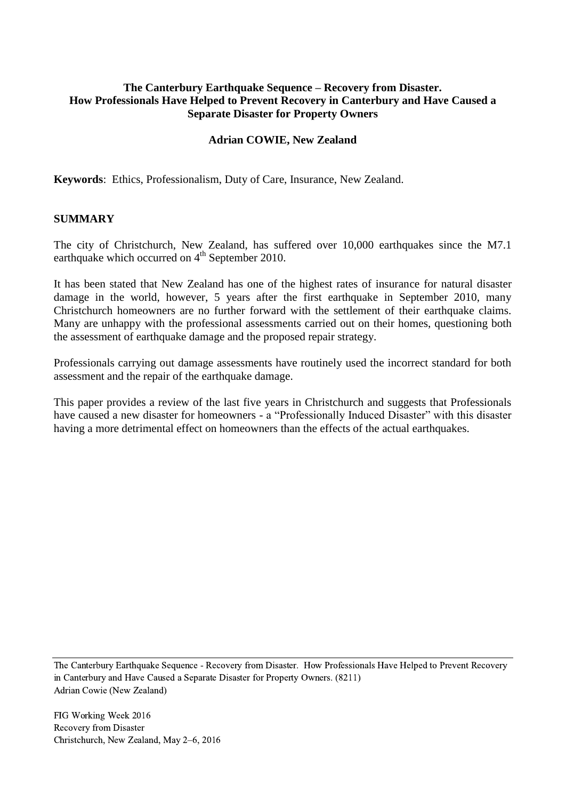## **The Canterbury Earthquake Sequence – Recovery from Disaster. How Professionals Have Helped to Prevent Recovery in Canterbury and Have Caused a Separate Disaster for Property Owners**

#### **Adrian COWIE, New Zealand**

**Keywords**: Ethics, Professionalism, Duty of Care, Insurance, New Zealand.

#### **SUMMARY**

The city of Christchurch, New Zealand, has suffered over 10,000 earthquakes since the M7.1 earthquake which occurred on  $4<sup>th</sup>$  September 2010.

It has been stated that New Zealand has one of the highest rates of insurance for natural disaster damage in the world, however, 5 years after the first earthquake in September 2010, many Christchurch homeowners are no further forward with the settlement of their earthquake claims. Many are unhappy with the professional assessments carried out on their homes, questioning both the assessment of earthquake damage and the proposed repair strategy.

Professionals carrying out damage assessments have routinely used the incorrect standard for both assessment and the repair of the earthquake damage.

This paper provides a review of the last five years in Christchurch and suggests that Professionals have caused a new disaster for homeowners - a "Professionally Induced Disaster" with this disaster having a more detrimental effect on homeowners than the effects of the actual earthquakes.

The Canterbury Earthquake Sequence - Recovery from Disaster. How Professionals Have Helped to Prevent Recovery in Canterbury and Have Caused a Separate Disaster for Property Owners. (8211) Adrian Cowie (New Zealand)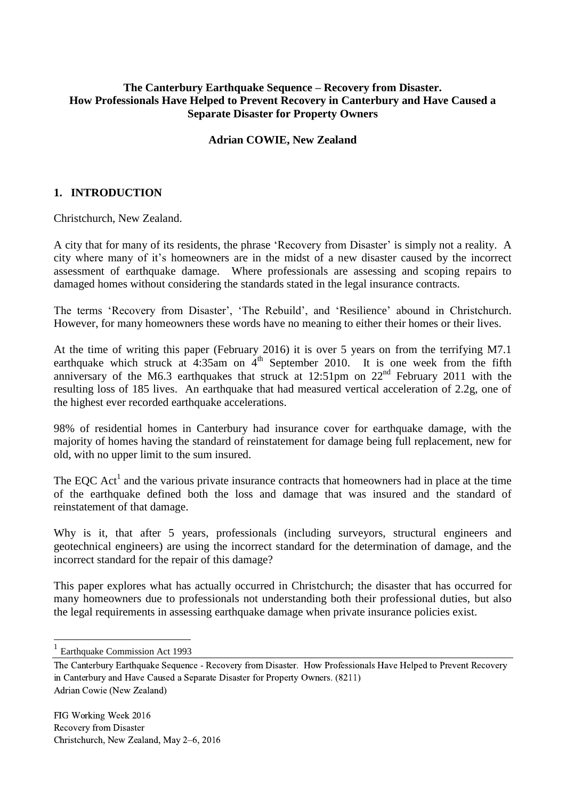## **The Canterbury Earthquake Sequence – Recovery from Disaster. How Professionals Have Helped to Prevent Recovery in Canterbury and Have Caused a Separate Disaster for Property Owners**

#### **Adrian COWIE, New Zealand**

#### **1. INTRODUCTION**

Christchurch, New Zealand.

A city that for many of its residents, the phrase 'Recovery from Disaster' is simply not a reality. A city where many of it's homeowners are in the midst of a new disaster caused by the incorrect assessment of earthquake damage. Where professionals are assessing and scoping repairs to damaged homes without considering the standards stated in the legal insurance contracts.

The terms 'Recovery from Disaster', 'The Rebuild', and 'Resilience' abound in Christchurch. However, for many homeowners these words have no meaning to either their homes or their lives.

At the time of writing this paper (February 2016) it is over 5 years on from the terrifying M7.1 earthquake which struck at  $4:35$ am on  $4<sup>th</sup>$  September 2010. It is one week from the fifth anniversary of the M6.3 earthquakes that struck at 12:51pm on  $22<sup>nd</sup>$  February 2011 with the resulting loss of 185 lives. An earthquake that had measured vertical acceleration of 2.2g, one of the highest ever recorded earthquake accelerations.

98% of residential homes in Canterbury had insurance cover for earthquake damage, with the majority of homes having the standard of reinstatement for damage being full replacement, new for old, with no upper limit to the sum insured.

The EQC Act<sup>1</sup> and the various private insurance contracts that homeowners had in place at the time of the earthquake defined both the loss and damage that was insured and the standard of reinstatement of that damage.

Why is it, that after 5 years, professionals (including surveyors, structural engineers and geotechnical engineers) are using the incorrect standard for the determination of damage, and the incorrect standard for the repair of this damage?

This paper explores what has actually occurred in Christchurch; the disaster that has occurred for many homeowners due to professionals not understanding both their professional duties, but also the legal requirements in assessing earthquake damage when private insurance policies exist.

1

<sup>1</sup> Earthquake Commission Act 1993

The Canterbury Earthquake Sequence - Recovery from Disaster. How Professionals Have Helped to Prevent Recovery in Canterbury and Have Caused a Separate Disaster for Property Owners. (8211) Adrian Cowie (New Zealand)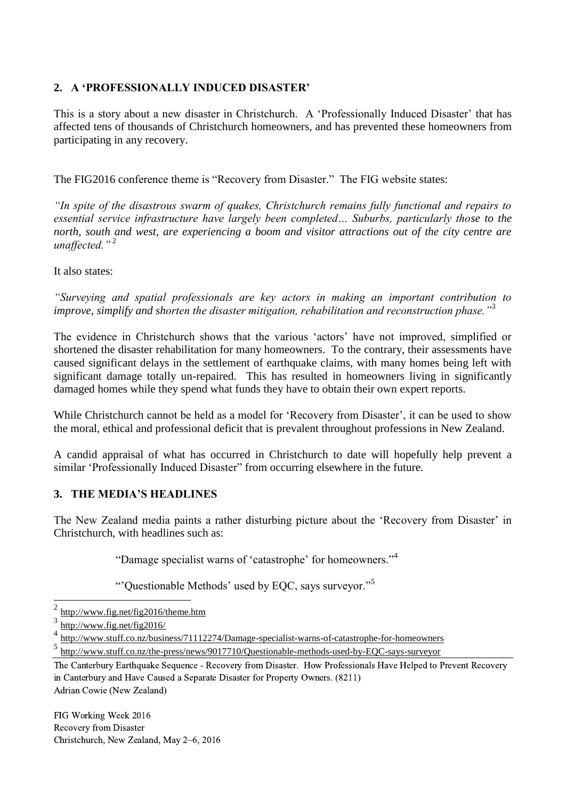## **2. A 'PROFESSIONALLY INDUCED DISASTER'**

This is a story about a new disaster in Christchurch. A 'Professionally Induced Disaster' that has affected tens of thousands of Christchurch homeowners, and has prevented these homeowners from participating in any recovery.

The FIG2016 conference theme is "Recovery from Disaster." The FIG website states:

*"In spite of the disastrous swarm of quakes, Christchurch remains fully functional and repairs to essential service infrastructure have largely been completed… Suburbs, particularly those to the north, south and west, are experiencing a boom and visitor attractions out of the city centre are unaffected."* <sup>2</sup>

It also states:

*"Surveying and spatial professionals are key actors in making an important contribution to improve, simplify and shorten the disaster mitigation, rehabilitation and reconstruction phase."*<sup>3</sup>

The evidence in Christchurch shows that the various 'actors' have not improved, simplified or shortened the disaster rehabilitation for many homeowners. To the contrary, their assessments have caused significant delays in the settlement of earthquake claims, with many homes being left with significant damage totally un-repaired. This has resulted in homeowners living in significantly damaged homes while they spend what funds they have to obtain their own expert reports.

While Christchurch cannot be held as a model for 'Recovery from Disaster', it can be used to show the moral, ethical and professional deficit that is prevalent throughout professions in New Zealand.

A candid appraisal of what has occurred in Christchurch to date will hopefully help prevent a similar 'Professionally Induced Disaster'' from occurring elsewhere in the future.

## **3. THE MEDIA'S HEADLINES**

The New Zealand media paints a rather disturbing picture about the 'Recovery from Disaster' in Christchurch, with headlines such as:

"Damage specialist warns of 'catastrophe' for homeowners."<sup>4</sup>

"'Questionable Methods' used by EQC, says surveyor."<sup>5</sup>

-

4 <http://www.stuff.co.nz/business/71112274/Damage-specialist-warns-of-catastrophe-for-homeowners>

5 <http://www.stuff.co.nz/the-press/news/9017710/Questionable-methods-used-by-EQC-says-surveyor>

<sup>2</sup> <http://www.fig.net/fig2016/theme.htm>

<sup>3</sup> <http://www.fig.net/fig2016/>

The Canterbury Earthquake Sequence - Recovery from Disaster. How Professionals Have Helped to Prevent Recovery in Canterbury and Have Caused a Separate Disaster for Property Owners. (8211) Adrian Cowie (New Zealand)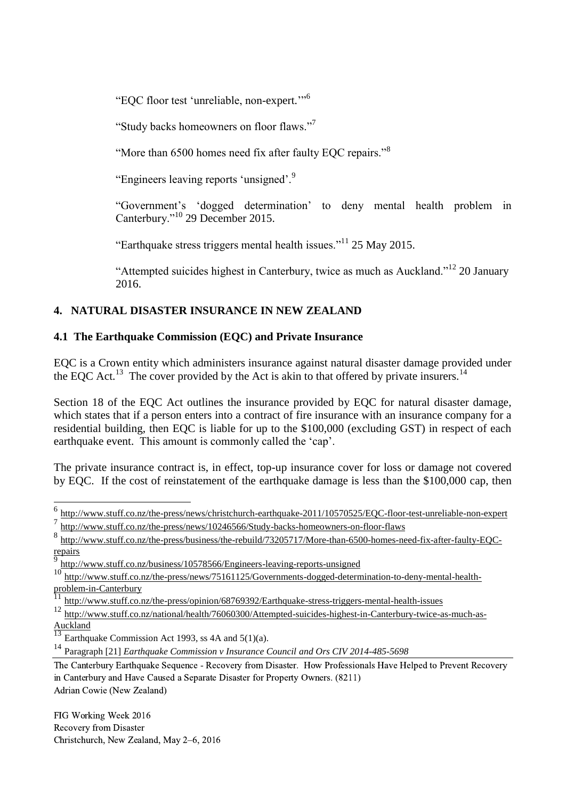"EQC floor test 'unreliable, non-expert.'"<sup>6</sup>

"Study backs homeowners on floor flaws."<sup>7</sup>

"More than 6500 homes need fix after faulty EQC repairs."<sup>8</sup>

"Engineers leaving reports 'unsigned'.<sup>9</sup>

"Government's 'dogged determination' to deny mental health problem in Canterbury."<sup>10</sup> 29 December 2015.

"Earthquake stress triggers mental health issues."<sup>11</sup> 25 May 2015.

"Attempted suicides highest in Canterbury, twice as much as Auckland."<sup>12</sup> 20 January 2016.

# **4. NATURAL DISASTER INSURANCE IN NEW ZEALAND**

## **4.1 The Earthquake Commission (EQC) and Private Insurance**

EQC is a Crown entity which administers insurance against natural disaster damage provided under the EQC Act.<sup>13</sup> The cover provided by the Act is akin to that offered by private insurers.<sup>14</sup>

Section 18 of the EQC Act outlines the insurance provided by EQC for natural disaster damage, which states that if a person enters into a contract of fire insurance with an insurance company for a residential building, then EQC is liable for up to the \$100,000 (excluding GST) in respect of each earthquake event. This amount is commonly called the 'cap'.

The private insurance contract is, in effect, top-up insurance cover for loss or damage not covered by EQC. If the cost of reinstatement of the earthquake damage is less than the \$100,000 cap, then

9 <http://www.stuff.co.nz/business/10578566/Engineers-leaving-reports-unsigned>

FIG Working Week 2016 Recovery from Disaster Christchurch, New Zealand, May 2–6, 2016

-

<sup>&</sup>lt;sup>6</sup> <http://www.stuff.co.nz/the-press/news/christchurch-earthquake-2011/10570525/EQC-floor-test-unreliable-non-expert>

<sup>7</sup> <http://www.stuff.co.nz/the-press/news/10246566/Study-backs-homeowners-on-floor-flaws>

<sup>8</sup> [http://www.stuff.co.nz/the-press/business/the-rebuild/73205717/More-than-6500-homes-need-fix-after-faulty-EQC](http://www.stuff.co.nz/the-press/business/the-rebuild/73205717/More-than-6500-homes-need-fix-after-faulty-EQC-repairs)[repairs](http://www.stuff.co.nz/the-press/business/the-rebuild/73205717/More-than-6500-homes-need-fix-after-faulty-EQC-repairs)

<sup>10&</sup>lt;br>http://www<u>.stuff.co.nz/the-press/news/75161125/Governments-dogged-determination-to-deny-mental-health-</u> [problem-in-Canterbury](http://www.stuff.co.nz/the-press/news/75161125/Governments-dogged-determination-to-deny-mental-health-problem-in-Canterbury)

<sup>&</sup>lt;sup>11</sup> <http://www.stuff.co.nz/the-press/opinion/68769392/Earthquake-stress-triggers-mental-health-issues>

<sup>12</sup> [http://www.stuff.co.nz/national/health/76060300/Attempted-suicides-highest-in-Canterbury-twice-as-much-as-](http://www.stuff.co.nz/national/health/76060300/Attempted-suicides-highest-in-Canterbury-twice-as-much-as-Auckland) $\frac{\overbrace{\text{Auckland}}}{13}$  $\frac{\overbrace{\text{Auckland}}}{13}$  $\frac{\overbrace{\text{Auckland}}}{13}$ 

Earthquake Commission Act 1993, ss  $4A$  and  $5(1)(a)$ .

<sup>14</sup> Paragraph [21] *Earthquake Commission v Insurance Council and Ors CIV 2014-485-5698*

The Canterbury Earthquake Sequence - Recovery from Disaster. How Professionals Have Helped to Prevent Recovery in Canterbury and Have Caused a Separate Disaster for Property Owners. (8211) Adrian Cowie (New Zealand)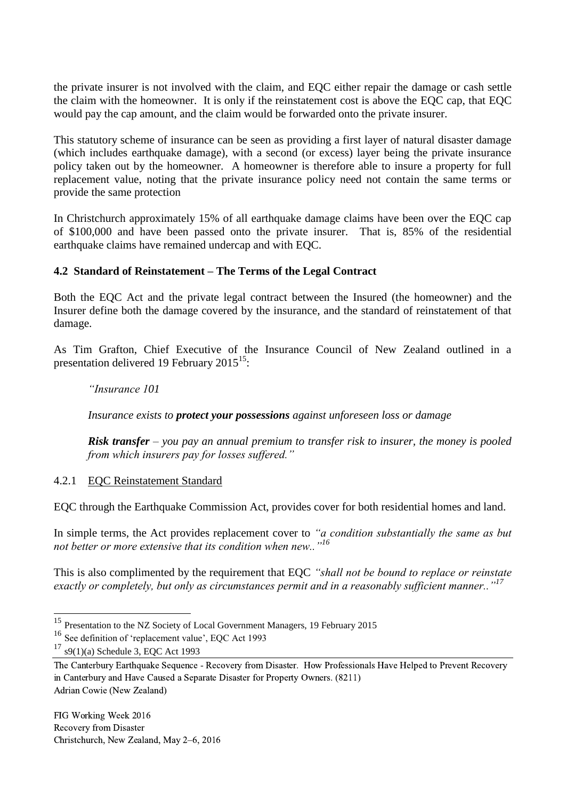the private insurer is not involved with the claim, and EQC either repair the damage or cash settle the claim with the homeowner. It is only if the reinstatement cost is above the EQC cap, that EQC would pay the cap amount, and the claim would be forwarded onto the private insurer.

This statutory scheme of insurance can be seen as providing a first layer of natural disaster damage (which includes earthquake damage), with a second (or excess) layer being the private insurance policy taken out by the homeowner. A homeowner is therefore able to insure a property for full replacement value, noting that the private insurance policy need not contain the same terms or provide the same protection

In Christchurch approximately 15% of all earthquake damage claims have been over the EOC cap of \$100,000 and have been passed onto the private insurer. That is, 85% of the residential earthquake claims have remained undercap and with EQC.

## **4.2 Standard of Reinstatement – The Terms of the Legal Contract**

Both the EQC Act and the private legal contract between the Insured (the homeowner) and the Insurer define both the damage covered by the insurance, and the standard of reinstatement of that damage.

As Tim Grafton, Chief Executive of the Insurance Council of New Zealand outlined in a presentation delivered 19 February  $2015^{15}$ :

*"Insurance 101*

*Insurance exists to protect your possessions against unforeseen loss or damage*

*Risk transfer – you pay an annual premium to transfer risk to insurer, the money is pooled from which insurers pay for losses suffered."*

#### 4.2.1 EQC Reinstatement Standard

EQC through the Earthquake Commission Act, provides cover for both residential homes and land.

In simple terms, the Act provides replacement cover to *"a condition substantially the same as but not better or more extensive that its condition when new.."<sup>16</sup>*

This is also complimented by the requirement that EQC *"shall not be bound to replace or reinstate exactly or completely, but only as circumstances permit and in a reasonably sufficient manner.."<sup>17</sup>*

-

<sup>&</sup>lt;sup>15</sup> Presentation to the NZ Society of Local Government Managers, 19 February 2015

<sup>16</sup> See definition of 'replacement value', EQC Act 1993

 $17$  s9(1)(a) Schedule 3, EQC Act 1993

The Canterbury Earthquake Sequence - Recovery from Disaster. How Professionals Have Helped to Prevent Recovery in Canterbury and Have Caused a Separate Disaster for Property Owners. (8211) Adrian Cowie (New Zealand)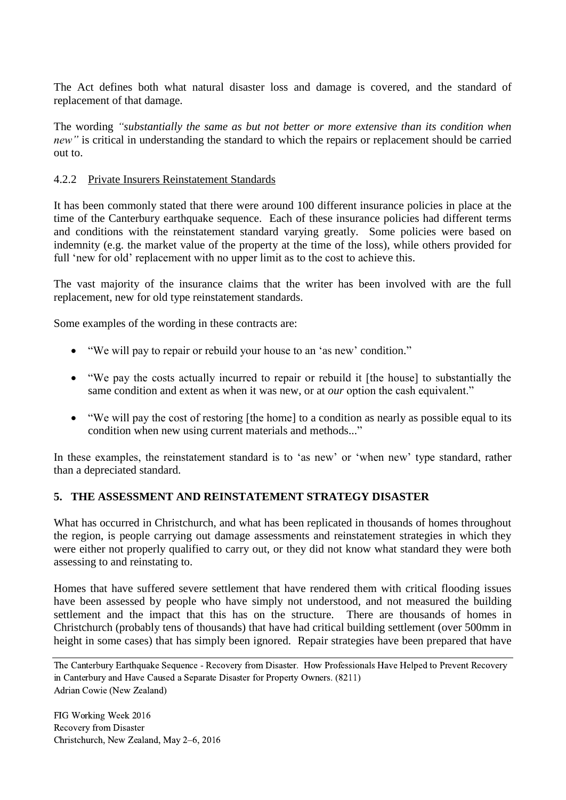The Act defines both what natural disaster loss and damage is covered, and the standard of replacement of that damage.

The wording *"substantially the same as but not better or more extensive than its condition when new*" is critical in understanding the standard to which the repairs or replacement should be carried out to.

#### 4.2.2 Private Insurers Reinstatement Standards

It has been commonly stated that there were around 100 different insurance policies in place at the time of the Canterbury earthquake sequence. Each of these insurance policies had different terms and conditions with the reinstatement standard varying greatly. Some policies were based on indemnity (e.g. the market value of the property at the time of the loss), while others provided for full 'new for old' replacement with no upper limit as to the cost to achieve this.

The vast majority of the insurance claims that the writer has been involved with are the full replacement, new for old type reinstatement standards.

Some examples of the wording in these contracts are:

- "We will pay to repair or rebuild your house to an 'as new' condition."
- "We pay the costs actually incurred to repair or rebuild it [the house] to substantially the same condition and extent as when it was new, or at *our* option the cash equivalent."
- "We will pay the cost of restoring [the home] to a condition as nearly as possible equal to its condition when new using current materials and methods..."

In these examples, the reinstatement standard is to 'as new' or 'when new' type standard, rather than a depreciated standard.

## **5. THE ASSESSMENT AND REINSTATEMENT STRATEGY DISASTER**

What has occurred in Christchurch, and what has been replicated in thousands of homes throughout the region, is people carrying out damage assessments and reinstatement strategies in which they were either not properly qualified to carry out, or they did not know what standard they were both assessing to and reinstating to.

Homes that have suffered severe settlement that have rendered them with critical flooding issues have been assessed by people who have simply not understood, and not measured the building settlement and the impact that this has on the structure. There are thousands of homes in Christchurch (probably tens of thousands) that have had critical building settlement (over 500mm in height in some cases) that has simply been ignored. Repair strategies have been prepared that have

The Canterbury Earthquake Sequence - Recovery from Disaster. How Professionals Have Helped to Prevent Recovery in Canterbury and Have Caused a Separate Disaster for Property Owners. (8211) Adrian Cowie (New Zealand)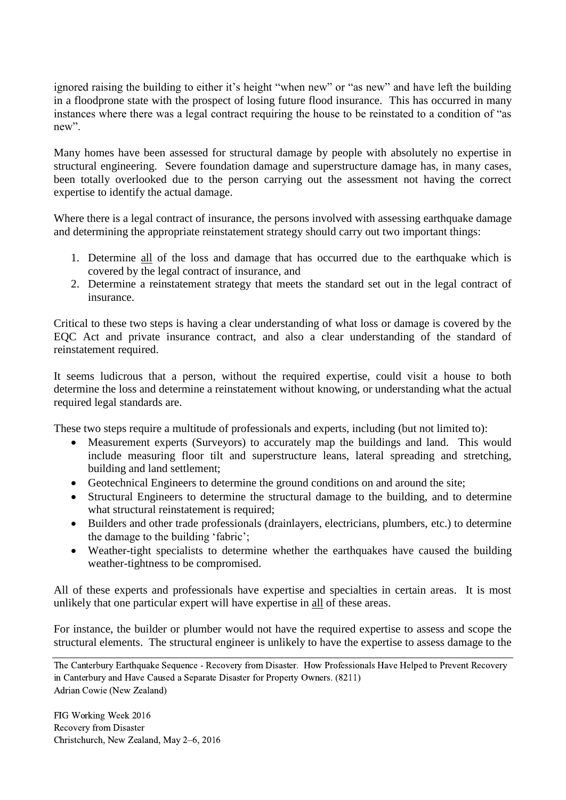ignored raising the building to either it's height "when new" or "as new" and have left the building in a floodprone state with the prospect of losing future flood insurance. This has occurred in many instances where there was a legal contract requiring the house to be reinstated to a condition of "as new".

Many homes have been assessed for structural damage by people with absolutely no expertise in structural engineering. Severe foundation damage and superstructure damage has, in many cases, been totally overlooked due to the person carrying out the assessment not having the correct expertise to identify the actual damage.

Where there is a legal contract of insurance, the persons involved with assessing earthquake damage and determining the appropriate reinstatement strategy should carry out two important things:

- 1. Determine all of the loss and damage that has occurred due to the earthquake which is covered by the legal contract of insurance, and
- 2. Determine a reinstatement strategy that meets the standard set out in the legal contract of insurance.

Critical to these two steps is having a clear understanding of what loss or damage is covered by the EQC Act and private insurance contract, and also a clear understanding of the standard of reinstatement required.

It seems ludicrous that a person, without the required expertise, could visit a house to both determine the loss and determine a reinstatement without knowing, or understanding what the actual required legal standards are.

These two steps require a multitude of professionals and experts, including (but not limited to):

- Measurement experts (Surveyors) to accurately map the buildings and land. This would include measuring floor tilt and superstructure leans, lateral spreading and stretching, building and land settlement;
- Geotechnical Engineers to determine the ground conditions on and around the site;
- Structural Engineers to determine the structural damage to the building, and to determine what structural reinstatement is required;
- Builders and other trade professionals (drainlayers, electricians, plumbers, etc.) to determine the damage to the building 'fabric';
- Weather-tight specialists to determine whether the earthquakes have caused the building weather-tightness to be compromised.

All of these experts and professionals have expertise and specialties in certain areas. It is most unlikely that one particular expert will have expertise in all of these areas.

For instance, the builder or plumber would not have the required expertise to assess and scope the structural elements. The structural engineer is unlikely to have the expertise to assess damage to the

The Canterbury Earthquake Sequence - Recovery from Disaster. How Professionals Have Helped to Prevent Recovery in Canterbury and Have Caused a Separate Disaster for Property Owners. (8211) Adrian Cowie (New Zealand)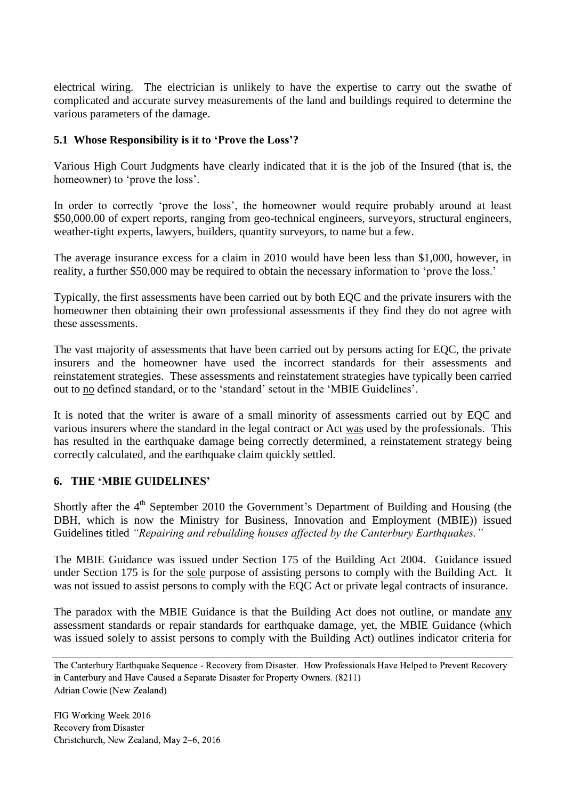electrical wiring. The electrician is unlikely to have the expertise to carry out the swathe of complicated and accurate survey measurements of the land and buildings required to determine the various parameters of the damage.

### **5.1 Whose Responsibility is it to 'Prove the Loss'?**

Various High Court Judgments have clearly indicated that it is the job of the Insured (that is, the homeowner) to 'prove the loss'.

In order to correctly 'prove the loss', the homeowner would require probably around at least \$50,000.00 of expert reports, ranging from geo-technical engineers, surveyors, structural engineers, weather-tight experts, lawyers, builders, quantity surveyors, to name but a few.

The average insurance excess for a claim in 2010 would have been less than \$1,000, however, in reality, a further \$50,000 may be required to obtain the necessary information to 'prove the loss.'

Typically, the first assessments have been carried out by both EQC and the private insurers with the homeowner then obtaining their own professional assessments if they find they do not agree with these assessments.

The vast majority of assessments that have been carried out by persons acting for EQC, the private insurers and the homeowner have used the incorrect standards for their assessments and reinstatement strategies. These assessments and reinstatement strategies have typically been carried out to no defined standard, or to the 'standard' setout in the 'MBIE Guidelines'.

It is noted that the writer is aware of a small minority of assessments carried out by EQC and various insurers where the standard in the legal contract or Act was used by the professionals. This has resulted in the earthquake damage being correctly determined, a reinstatement strategy being correctly calculated, and the earthquake claim quickly settled.

## **6. THE 'MBIE GUIDELINES'**

Shortly after the 4<sup>th</sup> September 2010 the Government's Department of Building and Housing (the DBH, which is now the Ministry for Business, Innovation and Employment (MBIE)) issued Guidelines titled "Repairing and rebuilding houses affected by the Canterbury Earthquakes."

The MBIE Guidance was issued under Section 175 of the Building Act 2004. Guidance issued under Section 175 is for the sole purpose of assisting persons to comply with the Building Act. It was not issued to assist persons to comply with the EQC Act or private legal contracts of insurance.

The paradox with the MBIE Guidance is that the Building Act does not outline, or mandate any assessment standards or repair standards for earthquake damage, yet, the MBIE Guidance (which was issued solely to assist persons to comply with the Building Act) outlines indicator criteria for

The Canterbury Earthquake Sequence - Recovery from Disaster. How Professionals Have Helped to Prevent Recovery in Canterbury and Have Caused a Separate Disaster for Property Owners. (8211) Adrian Cowie (New Zealand)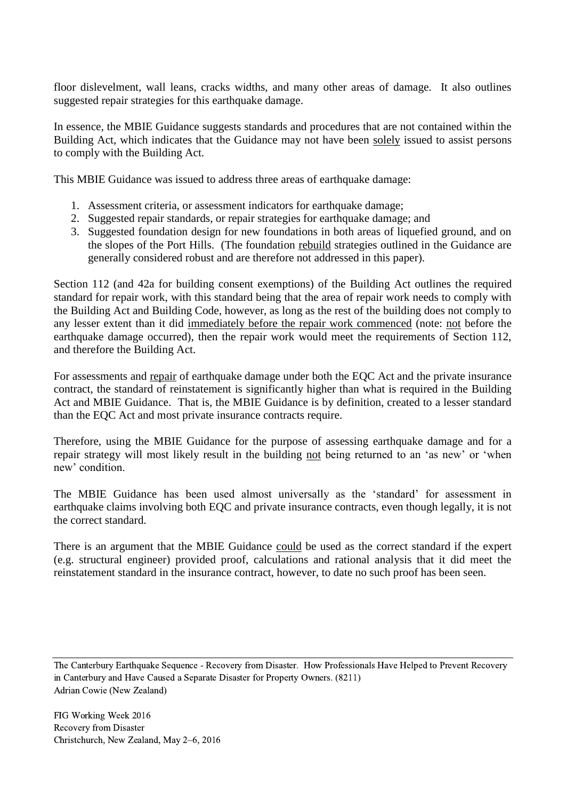floor dislevelment, wall leans, cracks widths, and many other areas of damage. It also outlines suggested repair strategies for this earthquake damage.

In essence, the MBIE Guidance suggests standards and procedures that are not contained within the Building Act, which indicates that the Guidance may not have been solely issued to assist persons to comply with the Building Act.

This MBIE Guidance was issued to address three areas of earthquake damage:

- 1. Assessment criteria, or assessment indicators for earthquake damage;
- 2. Suggested repair standards, or repair strategies for earthquake damage; and
- 3. Suggested foundation design for new foundations in both areas of liquefied ground, and on the slopes of the Port Hills. (The foundation rebuild strategies outlined in the Guidance are generally considered robust and are therefore not addressed in this paper).

Section 112 (and 42a for building consent exemptions) of the Building Act outlines the required standard for repair work, with this standard being that the area of repair work needs to comply with the Building Act and Building Code, however, as long as the rest of the building does not comply to any lesser extent than it did immediately before the repair work commenced (note: not before the earthquake damage occurred), then the repair work would meet the requirements of Section 112, and therefore the Building Act.

For assessments and repair of earthquake damage under both the EQC Act and the private insurance contract, the standard of reinstatement is significantly higher than what is required in the Building Act and MBIE Guidance. That is, the MBIE Guidance is by definition, created to a lesser standard than the EQC Act and most private insurance contracts require.

Therefore, using the MBIE Guidance for the purpose of assessing earthquake damage and for a repair strategy will most likely result in the building not being returned to an 'as new' or 'when new' condition.

The MBIE Guidance has been used almost universally as the 'standard' for assessment in earthquake claims involving both EQC and private insurance contracts, even though legally, it is not the correct standard.

There is an argument that the MBIE Guidance could be used as the correct standard if the expert (e.g. structural engineer) provided proof, calculations and rational analysis that it did meet the reinstatement standard in the insurance contract, however, to date no such proof has been seen.

The Canterbury Earthquake Sequence - Recovery from Disaster. How Professionals Have Helped to Prevent Recovery in Canterbury and Have Caused a Separate Disaster for Property Owners. (8211) Adrian Cowie (New Zealand)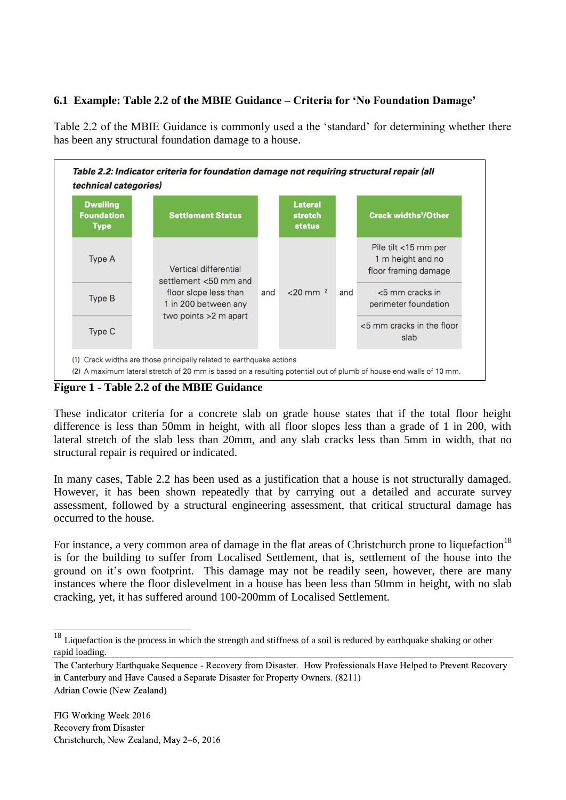## **6.1 Example: Table 2.2 of the MBIE Guidance – Criteria for 'No Foundation Damage'**

Table 2.2 of the MBIE Guidance is commonly used a the 'standard' for determining whether there has been any structural foundation damage to a house.



**Figure 1 - Table 2.2 of the MBIE Guidance**

These indicator criteria for a concrete slab on grade house states that if the total floor height difference is less than 50mm in height, with all floor slopes less than a grade of 1 in 200, with lateral stretch of the slab less than 20mm, and any slab cracks less than 5mm in width, that no structural repair is required or indicated.

In many cases, Table 2.2 has been used as a justification that a house is not structurally damaged. However, it has been shown repeatedly that by carrying out a detailed and accurate survey assessment, followed by a structural engineering assessment, that critical structural damage has occurred to the house.

For instance, a very common area of damage in the flat areas of Christchurch prone to liquefaction<sup>18</sup> is for the building to suffer from Localised Settlement, that is, settlement of the house into the ground on it's own footprint. This damage may not be readily seen, however, there are many instances where the floor dislevelment in a house has been less than 50mm in height, with no slab cracking, yet, it has suffered around 100-200mm of Localised Settlement.

 $\overline{a}$ 

 $18$  Liquefaction is the process in which the strength and stiffness of a soil is reduced by earthquake shaking or other rapid loading.

The Canterbury Earthquake Sequence - Recovery from Disaster. How Professionals Have Helped to Prevent Recovery in Canterbury and Have Caused a Separate Disaster for Property Owners. (8211) Adrian Cowie (New Zealand)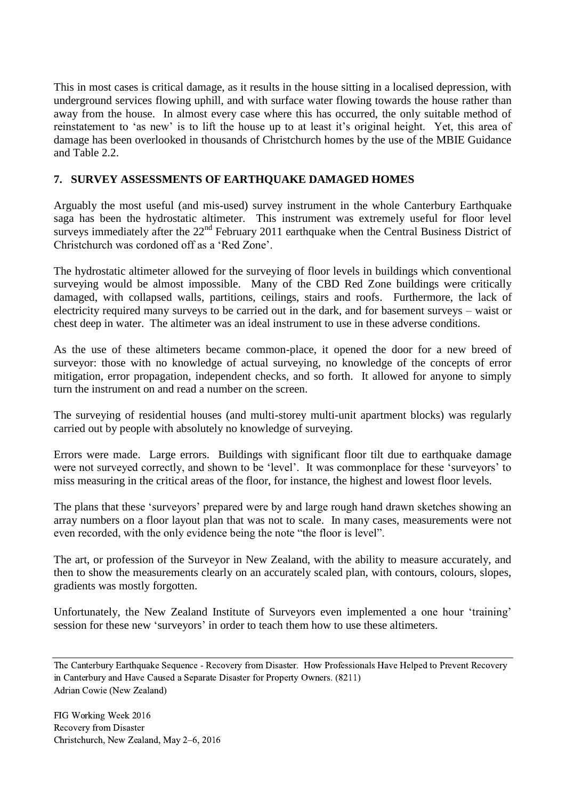This in most cases is critical damage, as it results in the house sitting in a localised depression, with underground services flowing uphill, and with surface water flowing towards the house rather than away from the house. In almost every case where this has occurred, the only suitable method of reinstatement to 'as new' is to lift the house up to at least it's original height. Yet, this area of damage has been overlooked in thousands of Christchurch homes by the use of the MBIE Guidance and Table  $2.2<sup>2</sup>$ 

## **7. SURVEY ASSESSMENTS OF EARTHQUAKE DAMAGED HOMES**

Arguably the most useful (and mis-used) survey instrument in the whole Canterbury Earthquake saga has been the hydrostatic altimeter. This instrument was extremely useful for floor level surveys immediately after the  $22<sup>nd</sup>$  February 2011 earthquake when the Central Business District of Christchurch was cordoned off as a 'Red Zone'.

The hydrostatic altimeter allowed for the surveying of floor levels in buildings which conventional surveying would be almost impossible. Many of the CBD Red Zone buildings were critically damaged, with collapsed walls, partitions, ceilings, stairs and roofs. Furthermore, the lack of electricity required many surveys to be carried out in the dark, and for basement surveys – waist or chest deep in water. The altimeter was an ideal instrument to use in these adverse conditions.

As the use of these altimeters became common-place, it opened the door for a new breed of surveyor: those with no knowledge of actual surveying, no knowledge of the concepts of error mitigation, error propagation, independent checks, and so forth. It allowed for anyone to simply turn the instrument on and read a number on the screen.

The surveying of residential houses (and multi-storey multi-unit apartment blocks) was regularly carried out by people with absolutely no knowledge of surveying.

Errors were made. Large errors. Buildings with significant floor tilt due to earthquake damage were not surveyed correctly, and shown to be 'level'. It was commonplace for these 'surveyors' to miss measuring in the critical areas of the floor, for instance, the highest and lowest floor levels.

The plans that these 'surveyors' prepared were by and large rough hand drawn sketches showing an array numbers on a floor layout plan that was not to scale. In many cases, measurements were not even recorded, with the only evidence being the note "the floor is level".

The art, or profession of the Surveyor in New Zealand, with the ability to measure accurately, and then to show the measurements clearly on an accurately scaled plan, with contours, colours, slopes, gradients was mostly forgotten.

Unfortunately, the New Zealand Institute of Surveyors even implemented a one hour 'training' session for these new 'surveyors' in order to teach them how to use these altimeters.

The Canterbury Earthquake Sequence - Recovery from Disaster. How Professionals Have Helped to Prevent Recovery in Canterbury and Have Caused a Separate Disaster for Property Owners. (8211) Adrian Cowie (New Zealand)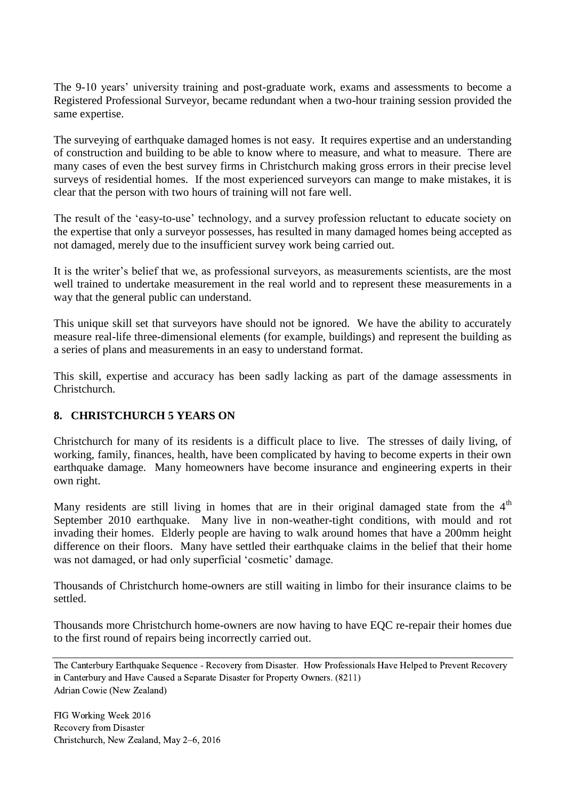The 9-10 years' university training and post-graduate work, exams and assessments to become a Registered Professional Surveyor, became redundant when a two-hour training session provided the same expertise.

The surveying of earthquake damaged homes is not easy. It requires expertise and an understanding of construction and building to be able to know where to measure, and what to measure. There are many cases of even the best survey firms in Christchurch making gross errors in their precise level surveys of residential homes. If the most experienced surveyors can mange to make mistakes, it is clear that the person with two hours of training will not fare well.

The result of the 'easy-to-use' technology, and a survey profession reluctant to educate society on the expertise that only a surveyor possesses, has resulted in many damaged homes being accepted as not damaged, merely due to the insufficient survey work being carried out.

It is the writer's belief that we, as professional surveyors, as measurements scientists, are the most well trained to undertake measurement in the real world and to represent these measurements in a way that the general public can understand.

This unique skill set that surveyors have should not be ignored. We have the ability to accurately measure real-life three-dimensional elements (for example, buildings) and represent the building as a series of plans and measurements in an easy to understand format.

This skill, expertise and accuracy has been sadly lacking as part of the damage assessments in Christchurch.

## **8. CHRISTCHURCH 5 YEARS ON**

Christchurch for many of its residents is a difficult place to live. The stresses of daily living, of working, family, finances, health, have been complicated by having to become experts in their own earthquake damage. Many homeowners have become insurance and engineering experts in their own right.

Many residents are still living in homes that are in their original damaged state from the  $4<sup>th</sup>$ September 2010 earthquake. Many live in non-weather-tight conditions, with mould and rot invading their homes. Elderly people are having to walk around homes that have a 200mm height difference on their floors. Many have settled their earthquake claims in the belief that their home was not damaged, or had only superficial 'cosmetic' damage.

Thousands of Christchurch home-owners are still waiting in limbo for their insurance claims to be settled.

Thousands more Christchurch home-owners are now having to have EQC re-repair their homes due to the first round of repairs being incorrectly carried out.

The Canterbury Earthquake Sequence - Recovery from Disaster. How Professionals Have Helped to Prevent Recovery in Canterbury and Have Caused a Separate Disaster for Property Owners. (8211) Adrian Cowie (New Zealand)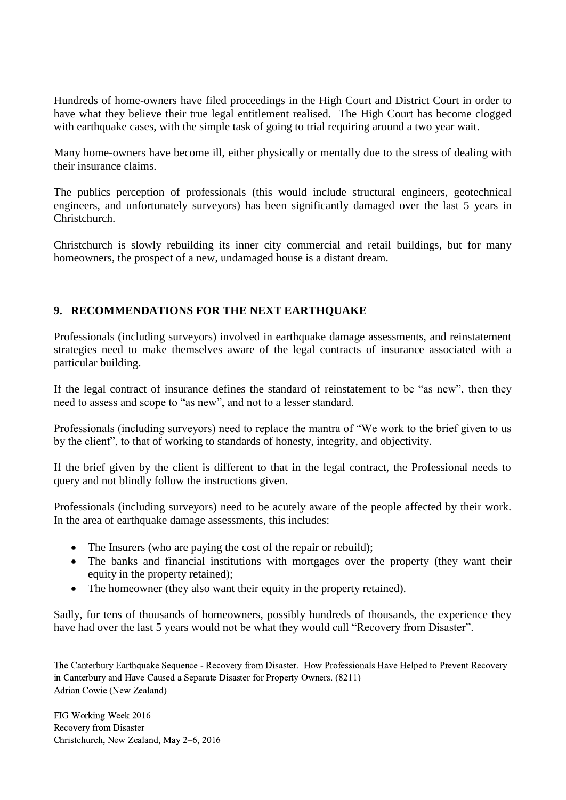Hundreds of home-owners have filed proceedings in the High Court and District Court in order to have what they believe their true legal entitlement realised. The High Court has become clogged with earthquake cases, with the simple task of going to trial requiring around a two year wait.

Many home-owners have become ill, either physically or mentally due to the stress of dealing with their insurance claims.

The publics perception of professionals (this would include structural engineers, geotechnical engineers, and unfortunately surveyors) has been significantly damaged over the last 5 years in Christchurch.

Christchurch is slowly rebuilding its inner city commercial and retail buildings, but for many homeowners, the prospect of a new, undamaged house is a distant dream.

# **9. RECOMMENDATIONS FOR THE NEXT EARTHQUAKE**

Professionals (including surveyors) involved in earthquake damage assessments, and reinstatement strategies need to make themselves aware of the legal contracts of insurance associated with a particular building.

If the legal contract of insurance defines the standard of reinstatement to be "as new", then they need to assess and scope to "as new", and not to a lesser standard.

Professionals (including surveyors) need to replace the mantra of "We work to the brief given to us by the client", to that of working to standards of honesty, integrity, and objectivity.

If the brief given by the client is different to that in the legal contract, the Professional needs to query and not blindly follow the instructions given.

Professionals (including surveyors) need to be acutely aware of the people affected by their work. In the area of earthquake damage assessments, this includes:

- The Insurers (who are paying the cost of the repair or rebuild);
- The banks and financial institutions with mortgages over the property (they want their equity in the property retained);
- The homeowner (they also want their equity in the property retained).

Sadly, for tens of thousands of homeowners, possibly hundreds of thousands, the experience they have had over the last 5 years would not be what they would call "Recovery from Disaster".

The Canterbury Earthquake Sequence - Recovery from Disaster. How Professionals Have Helped to Prevent Recovery in Canterbury and Have Caused a Separate Disaster for Property Owners. (8211) Adrian Cowie (New Zealand)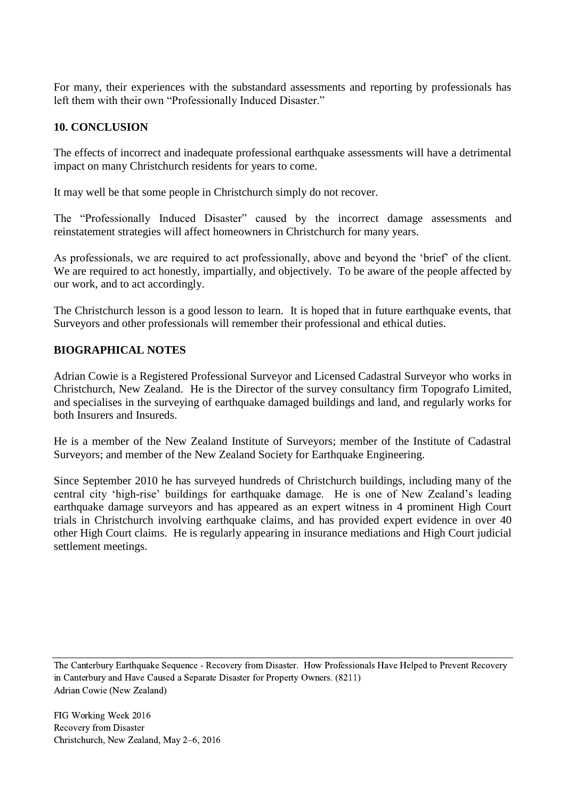For many, their experiences with the substandard assessments and reporting by professionals has left them with their own "Professionally Induced Disaster."

## **10. CONCLUSION**

The effects of incorrect and inadequate professional earthquake assessments will have a detrimental impact on many Christchurch residents for years to come.

It may well be that some people in Christchurch simply do not recover.

The "Professionally Induced Disaster" caused by the incorrect damage assessments and reinstatement strategies will affect homeowners in Christchurch for many years.

As professionals, we are required to act professionally, above and beyond the 'brief' of the client. We are required to act honestly, impartially, and objectively. To be aware of the people affected by our work, and to act accordingly.

The Christchurch lesson is a good lesson to learn. It is hoped that in future earthquake events, that Surveyors and other professionals will remember their professional and ethical duties.

## **BIOGRAPHICAL NOTES**

Adrian Cowie is a Registered Professional Surveyor and Licensed Cadastral Surveyor who works in Christchurch, New Zealand. He is the Director of the survey consultancy firm Topografo Limited, and specialises in the surveying of earthquake damaged buildings and land, and regularly works for both Insurers and Insureds.

He is a member of the New Zealand Institute of Surveyors; member of the Institute of Cadastral Surveyors; and member of the New Zealand Society for Earthquake Engineering.

Since September 2010 he has surveyed hundreds of Christchurch buildings, including many of the central city 'high-rise' buildings for earthquake damage. He is one of New Zealand's leading earthquake damage surveyors and has appeared as an expert witness in 4 prominent High Court trials in Christchurch involving earthquake claims, and has provided expert evidence in over 40 other High Court claims. He is regularly appearing in insurance mediations and High Court judicial settlement meetings.

The Canterbury Earthquake Sequence - Recovery from Disaster. How Professionals Have Helped to Prevent Recovery in Canterbury and Have Caused a Separate Disaster for Property Owners. (8211) Adrian Cowie (New Zealand)